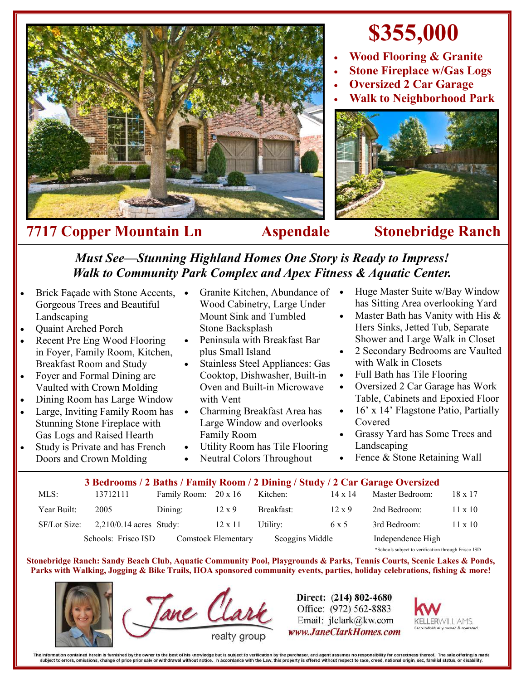

## **\$355,000**

- **Wood Flooring & Granite**
- **Stone Fireplace w/Gas Logs**
- **Oversized 2 Car Garage**
- **Walk to Neighborhood Park**



## *Must See—Stunning Highland Homes One Story is Ready to Impress! Walk to Community Park Complex and Apex Fitness & Aquatic Center.*

- Brick Façade with Stone Accents, Gorgeous Trees and Beautiful Landscaping
- Quaint Arched Porch
- Recent Pre Eng Wood Flooring in Foyer, Family Room, Kitchen, Breakfast Room and Study
- Foyer and Formal Dining are Vaulted with Crown Molding
- Dining Room has Large Window
- Large, Inviting Family Room has Stunning Stone Fireplace with Gas Logs and Raised Hearth
- Study is Private and has French Doors and Crown Molding
- Granite Kitchen, Abundance of Wood Cabinetry, Large Under Mount Sink and Tumbled Stone Backsplash
- Peninsula with Breakfast Bar plus Small Island
- Stainless Steel Appliances: Gas Cooktop, Dishwasher, Built-in Oven and Built-in Microwave with Vent
- Charming Breakfast Area has Large Window and overlooks Family Room
- Utility Room has Tile Flooring
- Neutral Colors Throughout
- Huge Master Suite w/Bay Window has Sitting Area overlooking Yard
- Master Bath has Vanity with His & Hers Sinks, Jetted Tub, Separate Shower and Large Walk in Closet
- 2 Secondary Bedrooms are Vaulted with Walk in Closets
- Full Bath has Tile Flooring
- Oversized 2 Car Garage has Work Table, Cabinets and Epoxied Floor
- 16' x 14' Flagstone Patio, Partially Covered
- Grassy Yard has Some Trees and Landscaping
- Fence & Stone Retaining Wall

## MLS: 13712111 Family Room: 20 x 16 Kitchen: 14 x 14 Master Bedroom: 18 x 17 **3 Bedrooms / 2 Baths / Family Room / 2 Dining / Study / 2 Car Garage Oversized**

| Year Built:  | 2005                                       | Dining: | $12 \times 9$   | Breakfast: | $12 \times 9$     | 2nd Bedroom:                                        | $11 \times 10$ |
|--------------|--------------------------------------------|---------|-----------------|------------|-------------------|-----------------------------------------------------|----------------|
| SF/Lot Size: | $2,210/0.14$ acres Study:                  |         | $12 \times 11$  | Utility:   | 6 x 5             | 3rd Bedroom:                                        | 11 x 10        |
|              | Schools: Frisco ISD<br>Comstock Elementary |         | Scoggins Middle |            | Independence High |                                                     |                |
|              |                                            |         |                 |            |                   | *Schools subject to verification through Frisco ISD |                |

**Stonebridge Ranch: Sandy Beach Club, Aquatic Community Pool, Playgrounds & Parks, Tennis Courts, Scenic Lakes & Ponds, Parks with Walking, Jogging & Bike Trails, HOA sponsored community events, parties, holiday celebrations, fishing & more!**



Tane CL

Direct: (214) 802-4680 Office: (972) 562-8883 Email: jlclark@kw.com www.JaneClarkHomes.com



The information contained herein is furnished by the owner to the best of his knowledge but is subject to verification by the purchaser, and agent assumes no responsibility for correctness thereof. The sale offering is mad